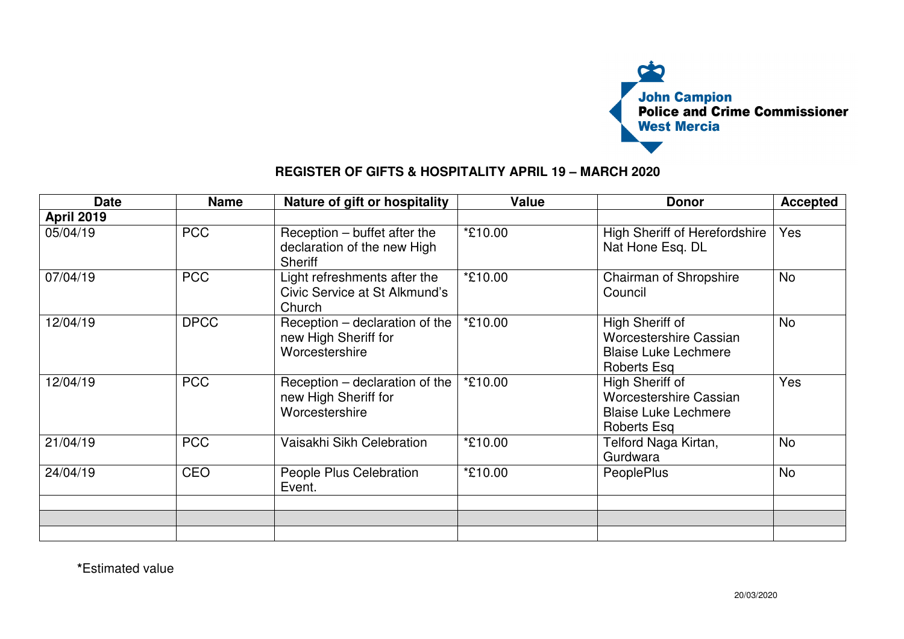

## **REGISTER OF GIFTS & HOSPITALITY APRIL 19 – MARCH 2020**

| <b>Date</b>       | <b>Name</b> | Nature of gift or hospitality                                                   | <b>Value</b> | <b>Donor</b>                                                                                   | <b>Accepted</b> |
|-------------------|-------------|---------------------------------------------------------------------------------|--------------|------------------------------------------------------------------------------------------------|-----------------|
| <b>April 2019</b> |             |                                                                                 |              |                                                                                                |                 |
| 05/04/19          | <b>PCC</b>  | $Reception - buffer$ after the<br>declaration of the new High<br><b>Sheriff</b> | *£10.00      | <b>High Sheriff of Herefordshire</b><br>Nat Hone Esq. DL                                       | Yes             |
| 07/04/19          | <b>PCC</b>  | Light refreshments after the<br>Civic Service at St Alkmund's<br>Church         | *£10.00      | Chairman of Shropshire<br>Council                                                              | <b>No</b>       |
| 12/04/19          | <b>DPCC</b> | Reception – declaration of the<br>new High Sheriff for<br>Worcestershire        | *£10.00      | High Sheriff of<br><b>Worcestershire Cassian</b><br><b>Blaise Luke Lechmere</b><br>Roberts Esq | <b>No</b>       |
| 12/04/19          | <b>PCC</b>  | Reception – declaration of the<br>new High Sheriff for<br>Worcestershire        | *£10.00      | High Sheriff of<br><b>Worcestershire Cassian</b><br><b>Blaise Luke Lechmere</b><br>Roberts Esq | Yes             |
| 21/04/19          | <b>PCC</b>  | Vaisakhi Sikh Celebration                                                       | *£10.00      | Telford Naga Kirtan,<br>Gurdwara                                                               | <b>No</b>       |
| 24/04/19          | CEO         | People Plus Celebration<br>Event.                                               | *£10.00      | <b>PeoplePlus</b>                                                                              | <b>No</b>       |
|                   |             |                                                                                 |              |                                                                                                |                 |
|                   |             |                                                                                 |              |                                                                                                |                 |
|                   |             |                                                                                 |              |                                                                                                |                 |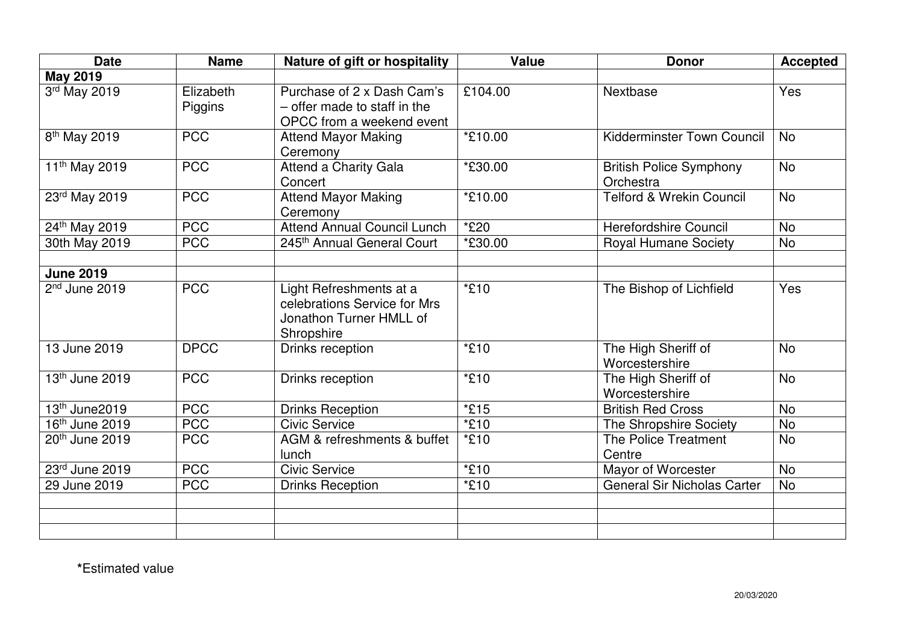| <b>Date</b>                | <b>Name</b>          | Nature of gift or hospitality                                                                    | <b>Value</b> | <b>Donor</b>                                | <b>Accepted</b> |
|----------------------------|----------------------|--------------------------------------------------------------------------------------------------|--------------|---------------------------------------------|-----------------|
| <b>May 2019</b>            |                      |                                                                                                  |              |                                             |                 |
| 3rd May 2019               | Elizabeth<br>Piggins | Purchase of 2 x Dash Cam's<br>- offer made to staff in the<br>OPCC from a weekend event          | £104.00      | Nextbase                                    | Yes             |
| 8 <sup>th</sup> May 2019   | <b>PCC</b>           | <b>Attend Mayor Making</b><br>Ceremony                                                           | *£10.00      | Kidderminster Town Council                  | <b>No</b>       |
| 11 <sup>th</sup> May 2019  | <b>PCC</b>           | <b>Attend a Charity Gala</b><br>Concert                                                          | *£30.00      | <b>British Police Symphony</b><br>Orchestra | <b>No</b>       |
| 23rd May 2019              | <b>PCC</b>           | <b>Attend Mayor Making</b><br>Ceremony                                                           | *£10.00      | <b>Telford &amp; Wrekin Council</b>         | <b>No</b>       |
| 24th May 2019              | <b>PCC</b>           | <b>Attend Annual Council Lunch</b>                                                               | *£20         | <b>Herefordshire Council</b>                | <b>No</b>       |
| 30th May 2019              | <b>PCC</b>           | 245th Annual General Court                                                                       | *£30.00      | <b>Royal Humane Society</b>                 | <b>No</b>       |
| <b>June 2019</b>           |                      |                                                                                                  |              |                                             |                 |
| $2nd$ June 2019            | <b>PCC</b>           | Light Refreshments at a<br>celebrations Service for Mrs<br>Jonathon Turner HMLL of<br>Shropshire | *£10         | The Bishop of Lichfield                     | Yes             |
| 13 June 2019               | <b>DPCC</b>          | Drinks reception                                                                                 | $*E10$       | The High Sheriff of<br>Worcestershire       | <b>No</b>       |
| 13th June 2019             | <b>PCC</b>           | Drinks reception                                                                                 | *£10         | The High Sheriff of<br>Worcestershire       | <b>No</b>       |
| 13 <sup>th</sup> June2019  | <b>PCC</b>           | <b>Drinks Reception</b>                                                                          | $*E15$       | <b>British Red Cross</b>                    | <b>No</b>       |
| 16 <sup>th</sup> June 2019 | <b>PCC</b>           | <b>Civic Service</b>                                                                             | *£10         | The Shropshire Society                      | <b>No</b>       |
| 20th June 2019             | <b>PCC</b>           | AGM & refreshments & buffet<br>lunch                                                             | *£10         | <b>The Police Treatment</b><br>Centre       | <b>No</b>       |
| 23rd June 2019             | <b>PCC</b>           | <b>Civic Service</b>                                                                             | *£10         | Mayor of Worcester                          | <b>No</b>       |
| 29 June 2019               | <b>PCC</b>           | <b>Drinks Reception</b>                                                                          | *£10         | <b>General Sir Nicholas Carter</b>          | <b>No</b>       |
|                            |                      |                                                                                                  |              |                                             |                 |
|                            |                      |                                                                                                  |              |                                             |                 |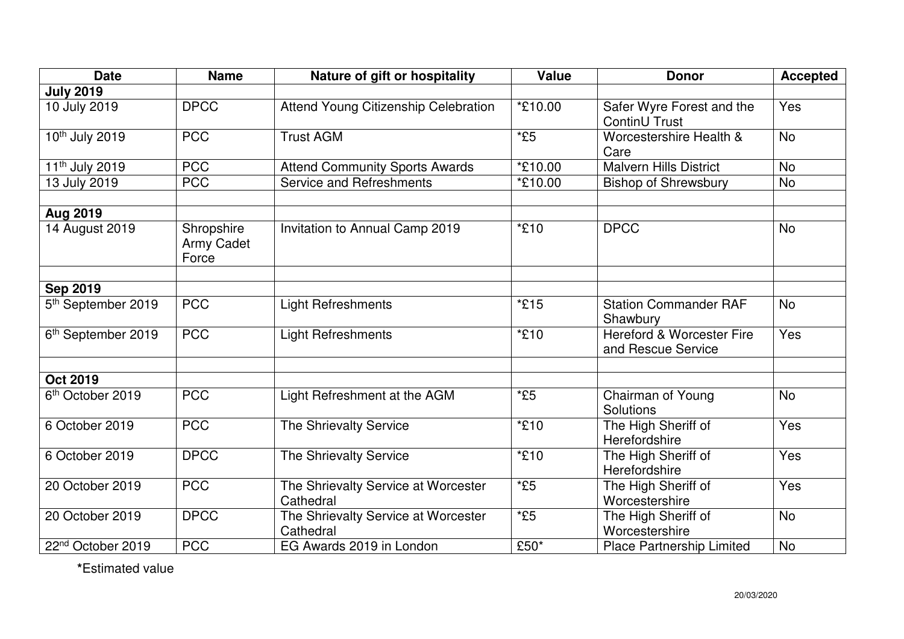| <b>Date</b>                    | <b>Name</b>                       | Nature of gift or hospitality                    | <b>Value</b> | <b>Donor</b>                                               | <b>Accepted</b> |
|--------------------------------|-----------------------------------|--------------------------------------------------|--------------|------------------------------------------------------------|-----------------|
| <b>July 2019</b>               |                                   |                                                  |              |                                                            |                 |
| 10 July 2019                   | <b>DPCC</b>                       | Attend Young Citizenship Celebration             | *£10.00      | Safer Wyre Forest and the<br>ContinU Trust                 | Yes             |
| 10th July 2019                 | <b>PCC</b>                        | <b>Trust AGM</b>                                 | $*E5$        | Worcestershire Health &<br>Care                            | <b>No</b>       |
| 11 <sup>th</sup> July 2019     | <b>PCC</b>                        | <b>Attend Community Sports Awards</b>            | *£10.00      | <b>Malvern Hills District</b>                              | <b>No</b>       |
| 13 July 2019                   | <b>PCC</b>                        | Service and Refreshments                         | *£10.00      | <b>Bishop of Shrewsbury</b>                                | <b>No</b>       |
| Aug 2019                       |                                   |                                                  |              |                                                            |                 |
| 14 August 2019                 | Shropshire<br>Army Cadet<br>Force | Invitation to Annual Camp 2019                   | *£10         | <b>DPCC</b>                                                | <b>No</b>       |
| <b>Sep 2019</b>                |                                   |                                                  |              |                                                            |                 |
| 5 <sup>th</sup> September 2019 | <b>PCC</b>                        | <b>Light Refreshments</b>                        | *£15         | <b>Station Commander RAF</b><br>Shawbury                   | <b>No</b>       |
| 6 <sup>th</sup> September 2019 | <b>PCC</b>                        | <b>Light Refreshments</b>                        | *£10         | <b>Hereford &amp; Worcester Fire</b><br>and Rescue Service | Yes             |
| <b>Oct 2019</b>                |                                   |                                                  |              |                                                            |                 |
| 6 <sup>th</sup> October 2019   | <b>PCC</b>                        | Light Refreshment at the AGM                     | $*E5$        | Chairman of Young<br>Solutions                             | <b>No</b>       |
| 6 October 2019                 | <b>PCC</b>                        | The Shrievalty Service                           | *£10         | The High Sheriff of<br>Herefordshire                       | Yes             |
| 6 October 2019                 | <b>DPCC</b>                       | The Shrievalty Service                           | *£10         | The High Sheriff of<br>Herefordshire                       | Yes             |
| 20 October 2019                | <b>PCC</b>                        | The Shrievalty Service at Worcester<br>Cathedral | $*E5$        | The High Sheriff of<br>Worcestershire                      | Yes             |
| 20 October 2019                | <b>DPCC</b>                       | The Shrievalty Service at Worcester<br>Cathedral | $*E5$        | The High Sheriff of<br>Worcestershire                      | <b>No</b>       |
| 22 <sup>nd</sup> October 2019  | <b>PCC</b>                        | EG Awards 2019 in London                         | £50*         | <b>Place Partnership Limited</b>                           | No              |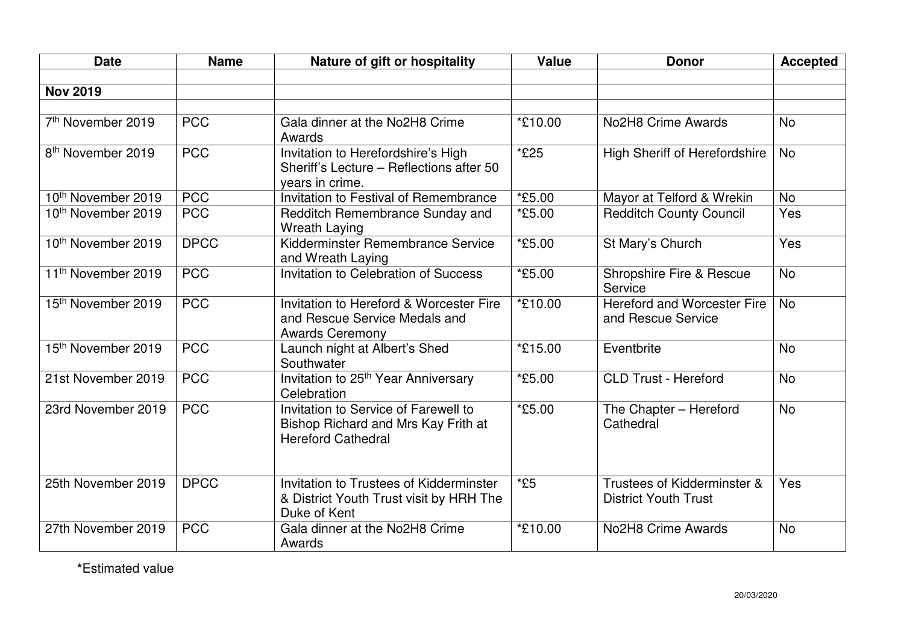| <b>Date</b>                    | <b>Name</b> | Nature of gift or hospitality                                                                            | <b>Value</b> | <b>Donor</b>                                               | <b>Accepted</b> |
|--------------------------------|-------------|----------------------------------------------------------------------------------------------------------|--------------|------------------------------------------------------------|-----------------|
|                                |             |                                                                                                          |              |                                                            |                 |
| <b>Nov 2019</b>                |             |                                                                                                          |              |                                                            |                 |
|                                |             |                                                                                                          |              |                                                            |                 |
| 7 <sup>th</sup> November 2019  | <b>PCC</b>  | Gala dinner at the No2H8 Crime<br>Awards                                                                 | *£10.00      | No2H8 Crime Awards                                         | <b>No</b>       |
| 8 <sup>th</sup> November 2019  | <b>PCC</b>  | Invitation to Herefordshire's High<br>Sheriff's Lecture - Reflections after 50<br>years in crime.        | *£25         | <b>High Sheriff of Herefordshire</b>                       | <b>No</b>       |
| 10 <sup>th</sup> November 2019 | <b>PCC</b>  | Invitation to Festival of Remembrance                                                                    | *£5.00       | Mayor at Telford & Wrekin                                  | <b>No</b>       |
| 10 <sup>th</sup> November 2019 | <b>PCC</b>  | Redditch Remembrance Sunday and<br><b>Wreath Laying</b>                                                  | *£5.00       | <b>Redditch County Council</b>                             | Yes             |
| 10th November 2019             | <b>DPCC</b> | Kidderminster Remembrance Service<br>and Wreath Laying                                                   | *£5.00       | St Mary's Church                                           | Yes             |
| 11 <sup>th</sup> November 2019 | <b>PCC</b>  | Invitation to Celebration of Success                                                                     | *£5.00       | Shropshire Fire & Rescue<br>Service                        | <b>No</b>       |
| 15th November 2019             | <b>PCC</b>  | Invitation to Hereford & Worcester Fire<br>and Rescue Service Medals and<br><b>Awards Ceremony</b>       | *£10.00      | <b>Hereford and Worcester Fire</b><br>and Rescue Service   | <b>No</b>       |
| 15th November 2019             | <b>PCC</b>  | Launch night at Albert's Shed<br>Southwater                                                              | *£15.00      | Eventbrite                                                 | No              |
| 21st November 2019             | <b>PCC</b>  | Invitation to 25 <sup>th</sup> Year Anniversary<br>Celebration                                           | *£5.00       | <b>CLD Trust - Hereford</b>                                | <b>No</b>       |
| 23rd November 2019             | <b>PCC</b>  | Invitation to Service of Farewell to<br>Bishop Richard and Mrs Kay Frith at<br><b>Hereford Cathedral</b> | *£5.00       | The Chapter - Hereford<br>Cathedral                        | No              |
| 25th November 2019             | <b>DPCC</b> | Invitation to Trustees of Kidderminster<br>& District Youth Trust visit by HRH The<br>Duke of Kent       | $*E5$        | Trustees of Kidderminster &<br><b>District Youth Trust</b> | Yes             |
| 27th November 2019             | <b>PCC</b>  | Gala dinner at the No2H8 Crime<br>Awards                                                                 | *£10.00      | No2H8 Crime Awards                                         | <b>No</b>       |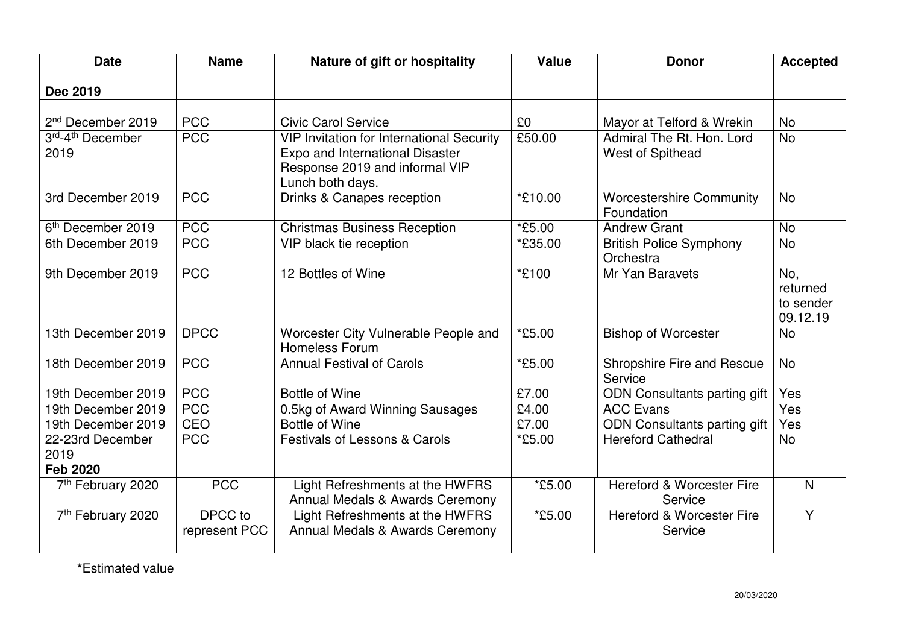| <b>Date</b>                          | <b>Name</b>              | Nature of gift or hospitality                                                                                                             | <b>Value</b> | <b>Donor</b>                                    | <b>Accepted</b>                          |
|--------------------------------------|--------------------------|-------------------------------------------------------------------------------------------------------------------------------------------|--------------|-------------------------------------------------|------------------------------------------|
|                                      |                          |                                                                                                                                           |              |                                                 |                                          |
| <b>Dec 2019</b>                      |                          |                                                                                                                                           |              |                                                 |                                          |
|                                      |                          |                                                                                                                                           |              |                                                 |                                          |
| 2 <sup>nd</sup> December 2019        | <b>PCC</b>               | <b>Civic Carol Service</b>                                                                                                                | £0           | Mayor at Telford & Wrekin                       | <b>No</b>                                |
| 3rd-4 <sup>th</sup> December<br>2019 | <b>PCC</b>               | <b>VIP Invitation for International Security</b><br>Expo and International Disaster<br>Response 2019 and informal VIP<br>Lunch both days. | £50.00       | Admiral The Rt. Hon. Lord<br>West of Spithead   | <b>No</b>                                |
| 3rd December 2019                    | <b>PCC</b>               | Drinks & Canapes reception                                                                                                                | *£10.00      | <b>Worcestershire Community</b><br>Foundation   | <b>No</b>                                |
| 6 <sup>th</sup> December 2019        | <b>PCC</b>               | <b>Christmas Business Reception</b>                                                                                                       | *£5.00       | <b>Andrew Grant</b>                             | <b>No</b>                                |
| 6th December 2019                    | <b>PCC</b>               | VIP black tie reception                                                                                                                   | *£35.00      | <b>British Police Symphony</b><br>Orchestra     | <b>No</b>                                |
| 9th December 2019                    | <b>PCC</b>               | 12 Bottles of Wine                                                                                                                        | *£100        | Mr Yan Baravets                                 | No,<br>returned<br>to sender<br>09.12.19 |
| 13th December 2019                   | <b>DPCC</b>              | Worcester City Vulnerable People and<br><b>Homeless Forum</b>                                                                             | *£5.00       | <b>Bishop of Worcester</b>                      | <b>No</b>                                |
| 18th December 2019                   | <b>PCC</b>               | <b>Annual Festival of Carols</b>                                                                                                          | $*E5.00$     | Shropshire Fire and Rescue<br>Service           | <b>No</b>                                |
| 19th December 2019                   | <b>PCC</b>               | <b>Bottle of Wine</b>                                                                                                                     | £7.00        | ODN Consultants parting gift                    | Yes                                      |
| 19th December 2019                   | <b>PCC</b>               | 0.5kg of Award Winning Sausages                                                                                                           | £4.00        | <b>ACC Evans</b>                                | Yes                                      |
| 19th December 2019                   | CEO                      | <b>Bottle of Wine</b>                                                                                                                     | £7.00        | ODN Consultants parting gift                    | Yes                                      |
| 22-23rd December<br>2019             | <b>PCC</b>               | <b>Festivals of Lessons &amp; Carols</b>                                                                                                  | *£5.00       | <b>Hereford Cathedral</b>                       | <b>No</b>                                |
| <b>Feb 2020</b>                      |                          |                                                                                                                                           |              |                                                 |                                          |
| 7 <sup>th</sup> February 2020        | <b>PCC</b>               | Light Refreshments at the HWFRS<br>Annual Medals & Awards Ceremony                                                                        | *£5.00       | <b>Hereford &amp; Worcester Fire</b><br>Service | $\mathsf{N}$                             |
| 7 <sup>th</sup> February 2020        | DPCC to<br>represent PCC | Light Refreshments at the HWFRS<br>Annual Medals & Awards Ceremony                                                                        | *£5.00       | <b>Hereford &amp; Worcester Fire</b><br>Service | $\overline{Y}$                           |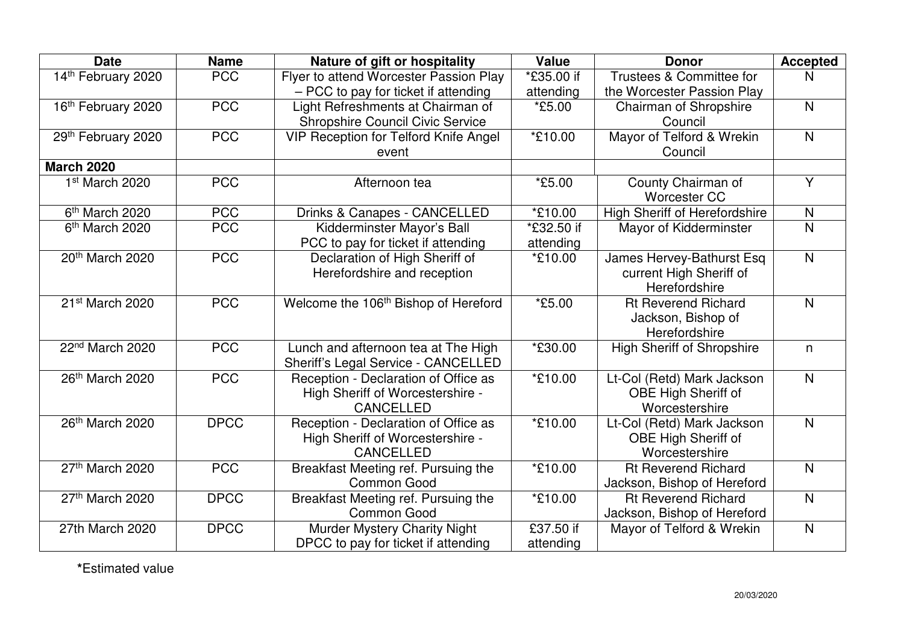| <b>Date</b>                 | <b>Name</b> | Nature of gift or hospitality                    | Value                   | <b>Donor</b>                         | <b>Accepted</b>         |
|-----------------------------|-------------|--------------------------------------------------|-------------------------|--------------------------------------|-------------------------|
| 14th February 2020          | <b>PCC</b>  | Flyer to attend Worcester Passion Play           | $\overline{E}$ 35.00 if | Trustees & Committee for             | N                       |
|                             |             | - PCC to pay for ticket if attending             | attending               | the Worcester Passion Play           |                         |
| 16th February 2020          | <b>PCC</b>  | Light Refreshments at Chairman of                | <i><b>*£5.00</b></i>    | Chairman of Shropshire               | $\mathsf{N}$            |
|                             |             | Shropshire Council Civic Service                 |                         | Council                              |                         |
| 29th February 2020          | <b>PCC</b>  | <b>VIP Reception for Telford Knife Angel</b>     | *£10.00                 | Mayor of Telford & Wrekin            | $\overline{\mathsf{N}}$ |
|                             |             | event                                            |                         | Council                              |                         |
| <b>March 2020</b>           |             |                                                  |                         |                                      |                         |
| 1st March 2020              | <b>PCC</b>  | Afternoon tea                                    | *£5.00                  | County Chairman of                   | $\overline{Y}$          |
|                             |             |                                                  |                         | <b>Worcester CC</b>                  |                         |
| 6 <sup>th</sup> March 2020  | <b>PCC</b>  | Drinks & Canapes - CANCELLED                     | *£10.00                 | <b>High Sheriff of Herefordshire</b> | $\mathsf{N}$            |
| 6 <sup>th</sup> March 2020  | <b>PCC</b>  | Kidderminster Mayor's Ball                       | *£32.50 if              | Mayor of Kidderminster               | $\overline{\mathsf{N}}$ |
|                             |             | PCC to pay for ticket if attending               | attending               |                                      |                         |
| 20th March 2020             | <b>PCC</b>  | Declaration of High Sheriff of                   | *£10.00                 | James Hervey-Bathurst Esq            | $\overline{\mathsf{N}}$ |
|                             |             | Herefordshire and reception                      |                         | current High Sheriff of              |                         |
|                             |             |                                                  |                         | Herefordshire                        |                         |
| 21 <sup>st</sup> March 2020 | <b>PCC</b>  | Welcome the 106 <sup>th</sup> Bishop of Hereford | *£5.00                  | <b>Rt Reverend Richard</b>           | $\mathsf{N}$            |
|                             |             |                                                  |                         | Jackson, Bishop of                   |                         |
|                             |             |                                                  |                         | Herefordshire                        |                         |
| 22 <sup>nd</sup> March 2020 | <b>PCC</b>  | Lunch and afternoon tea at The High              | *£30.00                 | <b>High Sheriff of Shropshire</b>    | n                       |
|                             |             | Sheriff's Legal Service - CANCELLED              |                         |                                      |                         |
| 26th March 2020             | <b>PCC</b>  | Reception - Declaration of Office as             | *£10.00                 | Lt-Col (Retd) Mark Jackson           | $\overline{\mathsf{N}}$ |
|                             |             | High Sheriff of Worcestershire -                 |                         | OBE High Sheriff of                  |                         |
|                             |             | <b>CANCELLED</b>                                 |                         | Worcestershire                       |                         |
| 26th March 2020             | <b>DPCC</b> | Reception - Declaration of Office as             | *£10.00                 | Lt-Col (Retd) Mark Jackson           | $\overline{N}$          |
|                             |             | High Sheriff of Worcestershire -                 |                         | OBE High Sheriff of                  |                         |
|                             |             | <b>CANCELLED</b>                                 |                         | Worcestershire                       |                         |
| 27th March 2020             | <b>PCC</b>  | Breakfast Meeting ref. Pursuing the              | *£10.00                 | <b>Rt Reverend Richard</b>           | $\mathsf{N}$            |
|                             |             | <b>Common Good</b>                               |                         | Jackson, Bishop of Hereford          |                         |
| 27th March 2020             | <b>DPCC</b> | Breakfast Meeting ref. Pursuing the              | *£10.00                 | <b>Rt Reverend Richard</b>           | $\mathsf{N}$            |
|                             |             | <b>Common Good</b>                               |                         | Jackson, Bishop of Hereford          |                         |
| 27th March 2020             | <b>DPCC</b> | <b>Murder Mystery Charity Night</b>              | £37.50 if               | Mayor of Telford & Wrekin            | $\mathsf{N}$            |
|                             |             | DPCC to pay for ticket if attending              |                         |                                      |                         |
|                             |             |                                                  | attending               |                                      |                         |